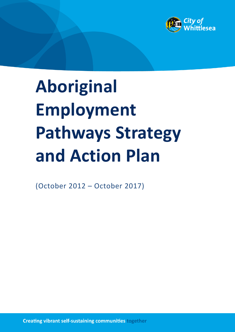

# **Aboriginal Employment Pathways Strategy and Action Plan**

(October 2012 – October 2017)

**Creating vibrant self-sustaining communities together**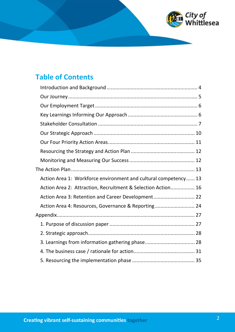

## **Table of Contents**

| Action Area 1: Workforce environment and cultural competency 13<br>Action Area 2: Attraction, Recruitment & Selection Action 16<br>Action Area 3: Retention and Career Development 22<br>Action Area 4: Resources, Governance & Reporting 24<br>3. Learnings from information gathering phase 28 |
|--------------------------------------------------------------------------------------------------------------------------------------------------------------------------------------------------------------------------------------------------------------------------------------------------|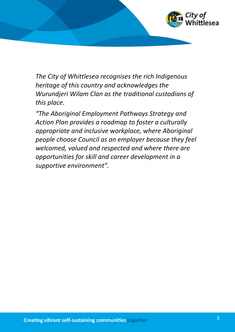

*The City of Whittlesea recognises the rich Indigenous heritage of this country and acknowledges the Wurundjeri Wilam Clan as the traditional custodians of this place.* 

*"The Aboriginal Employment Pathways Strategy and Action Plan provides a roadmap to foster a culturally appropriate and inclusive workplace, where Aboriginal people choose Council as an employer because they feel welcomed, valued and respected and where there are opportunities for skill and career development in a supportive environment".*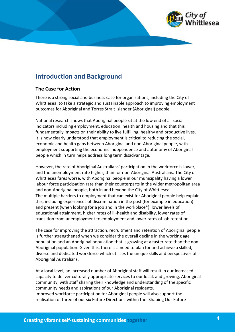## <span id="page-3-0"></span>**Introduction and Background**

#### **The Case for Action**

There is a strong social and business case for organisations, including the City of Whittlesea, to take a strategic and sustainable approach to improving employment outcomes for Aboriginal and Torres Strait Islander (Aboriginal) people.

National research shows that Aboriginal people sit at the low end of all social indicators including employment, education, health and housing and that this fundamentally impacts on their ability to live fulfilling, healthy and productive lives. It is now clearly understood that employment is critical to reducing the social, economic and health gaps between Aboriginal and non-Aboriginal people, with employment supporting the economic independence and autonomy of Aboriginal people which in turn helps address long term disadvantage.

However, the rate of Aboriginal Australians' participation in the workforce is lower, and the unemployment rate higher, than for non-Aboriginal Australians. The City of Whittlesea fares worse, with Aboriginal people in our municipality having a lower labour force participation rate than their counterparts in the wider metropolitan area and non-Aboriginal people, both in and beyond the City of Whittlesea*.*  The multiple barriers to employment that can exist for Aboriginal people help explain this, including experiences of discrimination in the past (for example in education) and present (when looking for a job and in the workplace\*), lower levels of educational attainment, higher rates of ill-health and disability, lower rates of transition from unemployment to employment and lower rates of job retention.

The case for improving the attraction, recruitment and retention of Aboriginal people is further strengthened when we consider the overall decline in the working age population and an Aboriginal population that is growing at a faster rate than the non-Aboriginal population. Given this, there is a need to plan for and achieve a skilled, diverse and dedicated workforce which utilises the unique skills and perspectives of Aboriginal Australians.

At a local level, an increased number of Aboriginal staff will result in our increased capacity to deliver culturally appropriate services to our local, and growing, Aboriginal community, with staff sharing their knowledge and understanding of the specific community needs and aspirations of our Aboriginal residents. Improved workforce participation for Aboriginal people will also support the realisation of three of our six Future Directions within the 'Shaping Our Future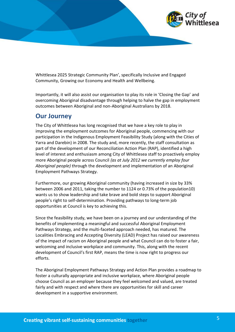

Whittlesea 2025 Strategic Community Plan', specifically Inclusive and Engaged Community, Growing our Economy and Health and Wellbeing.

Importantly, it will also assist our organisation to play its role in 'Closing the Gap' and overcoming Aboriginal disadvantage through helping to halve the gap in employment outcomes between Aboriginal and non-Aboriginal Australians by 2018.

## <span id="page-4-0"></span>**Our Journey**

The City of Whittlesea has long recognised that we have a key role to play in improving the employment outcomes for Aboriginal people, commencing with our participation in the Indigenous Employment Feasibility Study (along with the Cities of Yarra and Darebin) in 2008. The study and, more recently, the staff consultation as part of the development of our Reconciliation Action Plan (RAP), identified a high level of interest and enthusiasm among City of Whittlesea staff to proactively employ more Aboriginal people across Council *(as at July 2012 we currently employ four Aboriginal people)* through the development and implementation of an Aboriginal Employment Pathways Strategy.

Furthermore, our growing Aboriginal community (having increased in size by 33% between 2006 and 2011, taking the number to 1124 or 0.73% of the population10) wants us to show leadership and take brave and bold steps to support Aboriginal people's right to self-determination. Providing pathways to long-term job opportunities at Council is key to achieving this.

Since the feasibility study, we have been on a journey and our understanding of the benefits of implementing a meaningful and successful Aboriginal Employment Pathways Strategy, and the multi-faceted approach needed, has matured. The Localities Embracing and Accepting Diversity (LEAD) Project has raised our awareness of the impact of racism on Aboriginal people and what Council can do to foster a fair, welcoming and inclusive workplace and community. This, along with the recent development of Council's first RAP, means the time is now right to progress our efforts.

The Aboriginal Employment Pathways Strategy and Action Plan provides a roadmap to foster a culturally appropriate and inclusive workplace, where Aboriginal people choose Council as an employer because they feel welcomed and valued, are treated fairly and with respect and where there are opportunities for skill and career development in a supportive environment.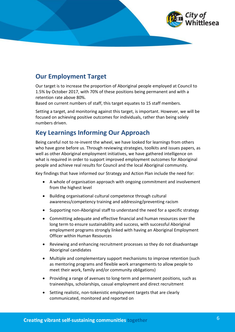

## <span id="page-5-0"></span>**Our Employment Target**

Our target is to increase the proportion of Aboriginal people employed at Council to 1.5% by October 2017, with 70% of these positions being permanent and with a retention rate above 80%.

Based on current numbers of staff, this target equates to 15 staff members.

Setting a target, and monitoring against this target, is important. However, we will be focused on achieving positive outcomes for individuals, rather than being solely numbers driven.

## <span id="page-5-1"></span>**Key Learnings Informing Our Approach**

Being careful not to re-invent the wheel, we have looked for learnings from others who have gone before us. Through reviewing strategies, toolkits and issues papers, as well as other Aboriginal employment initiatives, we have gathered intelligence on what is required in order to support improved employment outcomes for Aboriginal people and achieve real results for Council and the local Aboriginal community.

Key findings that have informed our Strategy and Action Plan include the need for:

- · A whole of organisation approach with ongoing commitment and involvement from the highest level
- · Building organisational cultural competence through cultural awareness/competency training and addressing/preventing racism
- · Supporting non-Aboriginal staff to understand the need for a specific strategy
- · Committing adequate and effective financial and human resources over the long term to ensure sustainability and success, with successful Aboriginal employment programs strongly linked with having an Aboriginal Employment Officer within Human Resources
- · Reviewing and enhancing recruitment processes so they do not disadvantage Aboriginal candidates
- · Multiple and complementary support mechanisms to improve retention (such as mentoring programs and flexible work arrangements to allow people to meet their work, family and/or community obligations)
- · Providing a range of avenues to long-term and permanent positions, such as traineeships, scholarships, casual employment and direct recruitment
- Setting realistic, non-tokenistic employment targets that are clearly communicated, monitored and reported on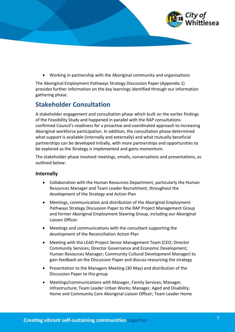

· Working in partnership with the Aboriginal community and organisations

The Aboriginal Employment Pathways Strategy Discussion Paper (Appendix 1) provides further information on the key learnings identified through our information gathering phase.

## <span id="page-6-0"></span>**Stakeholder Consultation**

A stakeholder engagement and consultation phase which built on the earlier findings of the Feasibility Study and happened in parallel with the RAP consultations confirmed Council's readiness for a proactive and coordinated approach to increasing Aboriginal workforce participation. In addition, the consultation phase determined what support is available (internally and externally) and what mutually beneficial partnerships can be developed initially, with more partnerships and opportunities to be explored as the Strategy is implemented and gains momentum.

The stakeholder phase involved meetings, emails, conversations and presentations, as outlined below:

#### **Internally**

- · Collaboration with the Human Resources Department, particularly the Human Resources Manager and Team Leader Recruitment, throughout the development of the Strategy and Action Plan
- · Meetings, communication and distribution of the Aboriginal Employment Pathways Strategy Discussion Paper to the RAP Project Management Group and former Aboriginal Employment Steering Group, including our Aboriginal Liaison Officer
- · Meetings and communications with the consultant supporting the development of the Reconciliation Action Plan
- · Meeting with the LEAD Project Senior Management Team (CEO; Director Community Services; Director Governance and Economic Development; Human Resources Manager; Community Cultural Development Manager) to gain feedback on the Discussion Paper and discuss resourcing the strategy
- · Presentation to the Managers Meeting (30 May) and distribution of the Discussion Paper to this group
- · Meetings/communications with Manager, Family Services; Manager, Infrastructure; Team Leader Urban Works; Manager, Aged and Disability; Home and Community Care Aboriginal Liaison Officer; Team Leader Home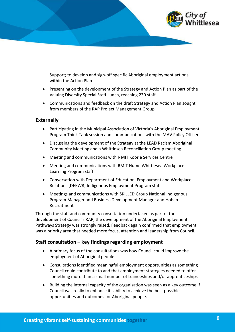

Support; to develop and sign-off specific Aboriginal employment actions within the Action Plan

- · Presenting on the development of the Strategy and Action Plan as part of the Valuing Diversity Special Staff Lunch, reaching 230 staff
- · Communications and feedback on the draft Strategy and Action Plan sought from members of the RAP Project Management Group

#### **Externally**

- · Participating in the Municipal Association of Victoria's Aboriginal Employment Program Think Tank session and communications with the MAV Policy Officer
- · Discussing the development of the Strategy at the LEAD Racism Aboriginal Community Meeting and a Whittlesea Reconciliation Group meeting
- · Meeting and communications with NMIT Koorie Services Centre
- · Meeting and communications with RMIT Hume Whittlesea Workplace Learning Program staff
- · Conversation with Department of Education, Employment and Workplace Relations (DEEWR) Indigenous Employment Program staff
- · Meetings and communications with SKILLED Group National Indigenous Program Manager and Business Development Manager and Hoban Recruitment

Through the staff and community consultation undertaken as part of the development of Council's RAP, the development of the Aboriginal Employment Pathways Strategy was strongly raised. Feedback again confirmed that employment was a priority area that needed more focus, attention and leadership from Council.

#### **Staff consultation – key findings regarding employment**

- · A primary focus of the consultations was how Council could improve the employment of Aboriginal people
- · Consultations identified meaningful employment opportunities as something Council could contribute to and that employment strategies needed to offer something more than a small number of traineeships and/or apprenticeships
- · Building the internal capacity of the organisation was seen as a key outcome if Council was really to enhance its ability to achieve the best possible opportunities and outcomes for Aboriginal people.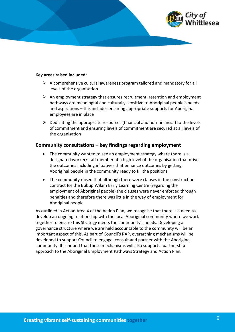

#### **Key areas raised included:**

- $\triangleright$  A comprehensive cultural awareness program tailored and mandatory for all levels of the organisation
- $\triangleright$  An employment strategy that ensures recruitment, retention and employment pathways are meaningful and culturally sensitive to Aboriginal people's needs and aspirations – this includes ensuring appropriate supports for Aboriginal employees are in place
- $\triangleright$  Dedicating the appropriate resources (financial and non-financial) to the levels of commitment and ensuring levels of commitment are secured at all levels of the organisation

#### **Community consultations – key findings regarding employment**

- The community wanted to see an employment strategy where there is a designated worker/staff member at a high level of the organisation that drives the outcomes including initiatives that enhance outcomes by getting Aboriginal people in the community ready to fill the positions
- · The community raised that although there were clauses in the construction contract for the Bubup Wilam Early Learning Centre (regarding the employment of Aboriginal people) the clauses were never enforced through penalties and therefore there was little in the way of employment for Aboriginal people

As outlined in Action Area 4 of the Action Plan, we recognise that there is a need to develop an ongoing relationship with the local Aboriginal community where we work together to ensure this Strategy meets the community's needs. Developing a governance structure where we are held accountable to the community will be an important aspect of this. As part of Council's RAP, overarching mechanisms will be developed to support Council to engage, consult and partner with the Aboriginal community. It is hoped that these mechanisms will also support a partnership approach to the Aboriginal Employment Pathways Strategy and Action Plan.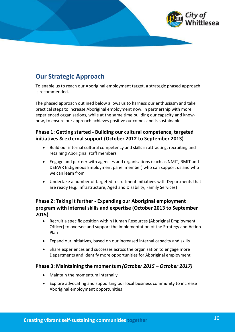

## <span id="page-9-0"></span>**Our Strategic Approach**

To enable us to reach our Aboriginal employment target, a strategic phased approach is recommended.

The phased approach outlined below allows us to harness our enthusiasm and take practical steps to increase Aboriginal employment now, in partnership with more experienced organisations, while at the same time building our capacity and knowhow, to ensure our approach achieves positive outcomes and is sustainable.

#### **Phase 1: Getting started - Building our cultural competence, targeted initiatives & external support (October 2012 to September 2013)**

- · Build our internal cultural competency and skills in attracting, recruiting and retaining Aboriginal staff members
- · Engage and partner with agencies and organisations (such as NMIT, RMIT and DEEWR Indigenous Employment panel member) who can support us and who we can learn from
- · Undertake a number of targeted recruitment initiatives with Departments that are ready (e.g. Infrastructure, Aged and Disability, Family Services)

#### **Phase 2: Taking it further - Expanding our Aboriginal employment program with internal skills and expertise (October 2013 to September 2015)**

- · Recruit a specific position within Human Resources (Aboriginal Employment Officer) to oversee and support the implementation of the Strategy and Action Plan
- · Expand our initiatives, based on our increased internal capacity and skills
- · Share experiences and successes across the organisation to engage more Departments and identify more opportunities for Aboriginal employment

#### **Phase 3: Maintaining the momentum** *(October 2015 – October 2017)*

- · Maintain the momentum internally
- · Explore advocating and supporting our local business community to increase Aboriginal employment opportunities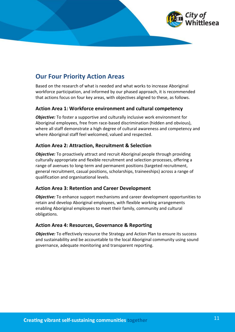

## <span id="page-10-0"></span>**Our Four Priority Action Areas**

Based on the research of what is needed and what works to increase Aboriginal workforce participation, and informed by our phased approach, it is recommended that actions focus on four key areas, with objectives aligned to these, as follows.

#### **Action Area 1: Workforce environment and cultural competency**

*Objective:* To foster a supportive and culturally inclusive work environment for Aboriginal employees, free from race-based discrimination (hidden and obvious), where all staff demonstrate a high degree of cultural awareness and competency and where Aboriginal staff feel welcomed, valued and respected.

#### **Action Area 2: Attraction, Recruitment & Selection**

*Objective:* To proactively attract and recruit Aboriginal people through providing culturally appropriate and flexible recruitment and selection processes, offering a range of avenues to long-term and permanent positions (targeted recruitment, general recruitment, casual positions, scholarships, traineeships) across a range of qualification and organisational levels.

#### **Action Area 3: Retention and Career Development**

*Objective:* To enhance support mechanisms and career development opportunities to retain and develop Aboriginal employees, with flexible working arrangements enabling Aboriginal employees to meet their family, community and cultural obligations.

#### **Action Area 4: Resources, Governance & Reporting**

*Objective:* To effectively resource the Strategy and Action Plan to ensure its success and sustainability and be accountable to the local Aboriginal community using sound governance, adequate monitoring and transparent reporting.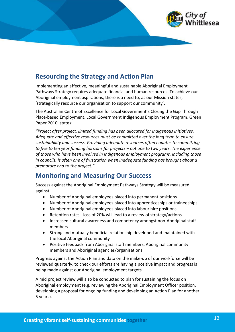

## <span id="page-11-0"></span>**Resourcing the Strategy and Action Plan**

Implementing an effective, meaningful and sustainable Aboriginal Employment Pathways Strategy requires adequate financial and human resources. To achieve our Aboriginal employment aspirations, there is a need to, as our Mission states, 'strategically resource our organisation to support our community'.

The Australian Centre of Excellence for Local Government's Closing the Gap Through Place-based Employment, Local Government Indigenous Employment Program, Green Paper 2010, states:

*"Project after project, limited funding has been allocated for Indigenous initiatives. Adequate and effective resources must be committed over the long term to ensure sustainability and success. Providing adequate resources often equates to committing to five to ten year funding horizons for projects – not one to two years. The experience of those who have been involved in Indigenous employment programs, including those in councils, is often one of frustration when inadequate funding has brought about a premature end to the project."* 

## <span id="page-11-1"></span>**Monitoring and Measuring Our Success**

Success against the Aboriginal Employment Pathways Strategy will be measured against:

- · Number of Aboriginal employees placed into permanent positions
- · Number of Aboriginal employees placed into apprenticeships or traineeships
- · Number of Aboriginal employees placed into labour hire positions
- · Retention rates loss of 20% will lead to a review of strategy/actions
- · Increased cultural awareness and competency amongst non-Aboriginal staff members
- · Strong and mutually beneficial relationship developed and maintained with the local Aboriginal community
- Positive feedback from Aboriginal staff members, Aboriginal community members and Aboriginal agencies/organisations

Progress against the Action Plan and data on the make-up of our workforce will be reviewed quarterly, to check our efforts are having a positive impact and progress is being made against our Aboriginal employment targets.

A mid project review will also be conducted to plan for sustaining the focus on Aboriginal employment (e.g. reviewing the Aboriginal Employment Officer position, developing a proposal for ongoing funding and developing an Action Plan for another 5 years).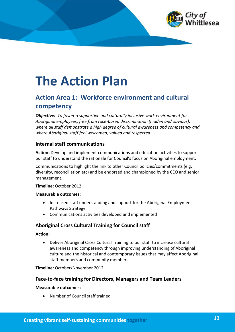

## <span id="page-12-0"></span>**The Action Plan**

## <span id="page-12-1"></span>**Action Area 1: Workforce environment and cultural competency**

*Objective: To foster a supportive and culturally inclusive work environment for Aboriginal employees, free from race-based discrimination (hidden and obvious), where all staff demonstrate a high degree of cultural awareness and competency and where Aboriginal staff feel welcomed, valued and respected.*

#### **Internal staff communications**

**Action:** Develop and implement communications and education activities to support our staff to understand the rationale for Council's focus on Aboriginal employment.

Communications to highlight the link to other Council policies/commitments (e.g. diversity, reconciliation etc) and be endorsed and championed by the CEO and senior management.

#### **Timeline:** October 2012

#### **Measurable outcomes:**

- · Increased staff understanding and support for the Aboriginal Employment Pathways Strategy
- · Communications activities developed and implemented

#### **Aboriginal Cross Cultural Training for Council staff**

#### **Action:**

· Deliver Aboriginal Cross Cultural Training to our staff to increase cultural awareness and competency through improving understanding of Aboriginal culture and the historical and contemporary issues that may affect Aboriginal staff members and community members.

**Timeline:** October/November 2012

#### **Face-to-face training for Directors, Managers and Team Leaders**

#### **Measurable outcomes:**

· Number of Council staff trained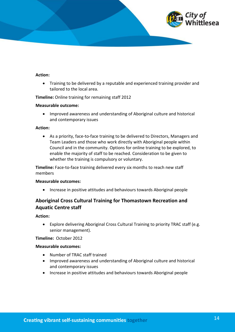

#### **Action:**

· Training to be delivered by a reputable and experienced training provider and tailored to the local area.

**Timeline:** Online training for remaining staff 2012

#### **Measurable outcome:**

· Improved awareness and understanding of Aboriginal culture and historical and contemporary issues

#### **Action:**

· As a priority, face-to-face training to be delivered to Directors, Managers and Team Leaders and those who work directly with Aboriginal people within Council and in the community. Options for online training to be explored, to enable the majority of staff to be reached. Consideration to be given to whether the training is compulsory or voluntary.

**Timeline:** Face-to-face training delivered every six months to reach new staff members

#### **Measurable outcomes:**

· Increase in positive attitudes and behaviours towards Aboriginal people

#### **Aboriginal Cross Cultural Training for Thomastown Recreation and Aquatic Centre staff**

**Action:**

· Explore delivering Aboriginal Cross Cultural Training to priority TRAC staff (e.g. senior management).

**Timeline:** October 2012

#### **Measurable outcomes:**

- · Number of TRAC staff trained
- · Improved awareness and understanding of Aboriginal culture and historical and contemporary issues
- · Increase in positive attitudes and behaviours towards Aboriginal people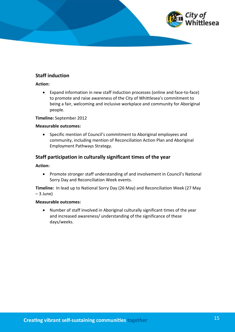

#### **Staff induction**

#### **Action:**

· Expand information in new staff induction processes (online and face-to-face) to promote and raise awareness of the City of Whittlesea's commitment to being a fair, welcoming and inclusive workplace and community for Aboriginal people.

#### **Timeline:** September 2012

#### **Measurable outcomes:**

· Specific mention of Council's commitment to Aboriginal employees and community, including mention of Reconciliation Action Plan and Aboriginal Employment Pathways Strategy.

#### **Staff participation in culturally significant times of the year**

#### **Action:**

· Promote stronger staff understanding of and involvement in Council's National Sorry Day and Reconciliation Week events.

**Timeline:** In lead up to National Sorry Day (26 May) and Reconciliation Week (27 May – 3 June)

#### **Measurable outcomes:**

· Number of staff involved in Aboriginal culturally significant times of the year and increased awareness/ understanding of the significance of these days/weeks.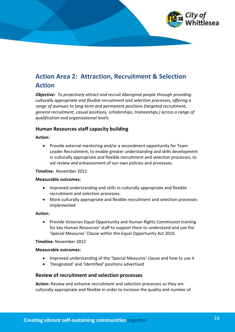

## <span id="page-15-0"></span>**Action Area 2: Attraction, Recruitment & Selection Action**

*Objective: To proactively attract and recruit Aboriginal people through providing culturally appropriate and flexible recruitment and selection processes, offering a range of avenues to long-term and permanent positions (targeted recruitment, general recruitment, casual positions, scholarships, traineeships,) across a range of qualification and organisational levels.*

#### **Human Resources staff capacity building**

#### **Action:**

· Provide external mentoring and/or a secondment opportunity for Team Leader Recruitment, to enable greater understanding and skills development in culturally appropriate and flexible recruitment and selection processes, to aid review and enhancement of our own policies and processes.

#### **Timeline:** November 2012

#### **Measurable outcomes:**

- · Improved understanding and skills in culturally appropriate and flexible recruitment and selection processes.
- · More culturally appropriate and flexible recruitment and selection processes implemented

#### **Action:**

· Provide Victorian Equal Opportunity and Human Rights Commission training for key Human Resources' staff to support them to understand and use the 'Special Measures' Clause within the Equal Opportunity Act 2010.

#### **Timeline:** November 2012

#### **Measurable outcomes:**

- · Improved understanding of the 'Special Measures' clause and how to use it
- · 'Designated' and 'Identified' positions advertised

#### **Review of recruitment and selection processes**

**Action:** Review and enhance recruitment and selection processes so they are culturally appropriate and flexible in order to increase the quality and number of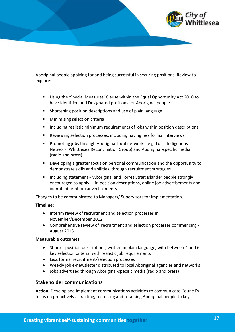

Aboriginal people applying for and being successful in securing positions. Review to explore:

- § Using the 'Special Measures' Clause within the Equal Opportunity Act 2010 to have Identified and Designated positions for Aboriginal people
- § Shortening position descriptions and use of plain language
- § Minimising selection criteria
- Including realistic minimum requirements of jobs within position descriptions
- § Reviewing selection processes, including having less formal interviews
- § Promoting jobs through Aboriginal local networks (e.g. Local Indigenous Network, Whittlesea Reconciliation Group) and Aboriginal-specific media (radio and press)
- Developing a greater focus on personal communication and the opportunity to demonstrate skills and abilities, through recruitment strategies
- § Including statement 'Aboriginal and Torres Strait Islander people strongly encouraged to apply' – in position descriptions, online job advertisements and identified print job advertisements

Changes to be communicated to Managers/ Supervisors for implementation.

#### **Timeline:**

- · Interim review of recruitment and selection processes in November/December 2012
- · Comprehensive review of recruitment and selection processes commencing August 2013

#### **Measurable outcomes:**

- · Shorter position descriptions, written in plain language, with between 4 and 6 key selection criteria, with realistic job requirements
- · Less formal recruitment/selection processes
- · Weekly job e-newsletter distributed to local Aboriginal agencies and networks
- · Jobs advertised through Aboriginal-specific media (radio and press)

#### **Stakeholder communications**

**Action:** Develop and implement communications activities to communicate Council's focus on proactively attracting, recruiting and retaining Aboriginal people to key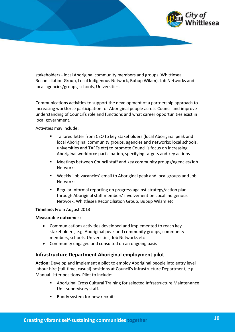

stakeholders - local Aboriginal community members and groups (Whittlesea Reconciliation Group, Local Indigenous Network, Bubup Wilam), Job Networks and local agencies/groups, schools, Universities.

Communications activities to support the development of a partnership approach to increasing workforce participation for Aboriginal people across Council and improve understanding of Council's role and functions and what career opportunities exist in local government.

Activities may include:

- Tailored letter from CEO to key stakeholders (local Aboriginal peak and local Aboriginal community groups, agencies and networks; local schools, universities and TAFEs etc) to promote Council's focus on increasing Aboriginal workforce participation, specifying targets and key actions
- § Meetings between Council staff and key community groups/agencies/Job **Networks**
- Weekly 'job vacancies' email to Aboriginal peak and local groups and Job Networks
- § Regular informal reporting on progress against strategy/action plan through Aboriginal staff members' involvement on Local Indigenous Network, Whittlesea Reconciliation Group, Bubup Wilam etc

#### **Timeline:** From August 2013

#### **Measurable outcomes:**

- Communications activities developed and implemented to reach key stakeholders, e.g. Aboriginal peak and community groups, community members, schools, Universities, Job Networks etc
- Community engaged and consulted on an ongoing basis

#### **Infrastructure Department Aboriginal employment pilot**

**Action:** Develop and implement a pilot to employ Aboriginal people into entry level labour hire (full-time, casual) positions at Council's Infrastructure Department, e.g. Manual Litter positions. Pilot to include:

- § Aboriginal Cross Cultural Training for selected Infrastructure Maintenance Unit supervisory staff.
- Buddy system for new recruits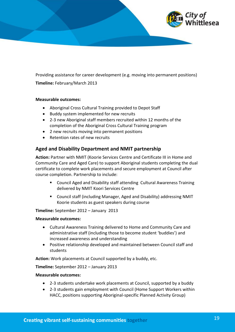

Providing assistance for career development (e.g. moving into permanent positions) **Timeline:** February/March 2013

#### **Measurable outcomes:**

- · Aboriginal Cross Cultural Training provided to Depot Staff
- · Buddy system implemented for new recruits
- · 2-3 new Aboriginal staff members recruited within 12 months of the completion of the Aboriginal Cross Cultural Training program
- · 2 new recruits moving into permanent positions
- · Retention rates of new recruits

#### **Aged and Disability Department and NMIT partnership**

**Action:** Partner with NMIT (Koorie Services Centre and Certificate III in Home and Community Care and Aged Care) to support Aboriginal students completing the dual certificate to complete work placements and secure employment at Council after course completion. Partnership to include:

- § Council Aged and Disability staff attending Cultural Awareness Training delivered by NMIT Koori Services Centre
- Council staff (including Manager, Aged and Disability) addressing NMIT Koorie students as guest speakers during course

**Timeline:** September 2012 – January 2013

#### **Measurable outcomes:**

- · Cultural Awareness Training delivered to Home and Community Care and administrative staff (including those to become student 'buddies') and increased awareness and understanding
- · Positive relationship developed and maintained between Council staff and students

**Action:** Work placements at Council supported by a buddy, etc.

**Timeline:** September 2012 – January 2013

#### **Measurable outcomes:**

- · 2-3 students undertake work placements at Council, supported by a buddy
- · 2-3 students gain employment with Council (Home Support Workers within HACC, positions supporting Aboriginal-specific Planned Activity Group)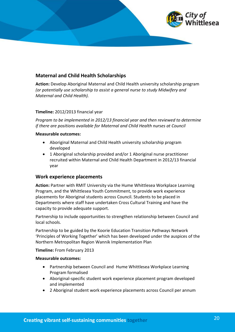

#### **Maternal and Child Health Scholarships**

**Action:** Develop Aboriginal Maternal and Child Health university scholarship program *(or potentially use scholarship to assist a general nurse to study Midwifery and Maternal and Child Health).*

#### **Timeline:** 2012/2013 financial year

*Program to be implemented in 2012/13 financial year and then reviewed to determine if there are positions available for Maternal and Child Health nurses at Council* 

#### **Measurable outcomes:**

- · Aboriginal Maternal and Child Health university scholarship program developed
- · 1 Aboriginal scholarship provided and/or 1 Aboriginal nurse practitioner recruited within Maternal and Child Health Department in 2012/13 financial year

#### **Work experience placements**

**Action:** Partner with RMIT University via the Hume Whittlesea Workplace Learning Program, and the Whittlesea Youth Commitment, to provide work experience placements for Aboriginal students across Council. Students to be placed in Departments where staff have undertaken Cross Cultural Training and have the capacity to provide adequate support.

Partnership to include opportunities to strengthen relationship between Council and local schools.

Partnership to be guided by the Koorie Education Transition Pathways Network 'Principles of Working Together' which has been developed under the auspices of the Northern Metropolitan Region Wannik Implementation Plan

#### **Timeline:** From February 2013

#### **Measurable outcomes:**

- · Partnership between Council and Hume Whittlesea Workplace Learning Program formalised
- · Aboriginal-specific student work experience placement program developed and implemented
- · 2 Aboriginal student work experience placements across Council per annum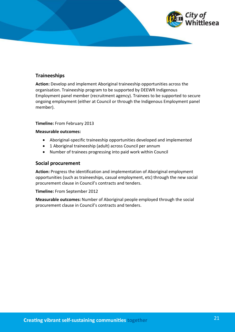

#### **Traineeships**

**Action:** Develop and implement Aboriginal traineeship opportunities across the organisation. Traineeship program to be supported by DEEWR Indigenous Employment panel member (recruitment agency). Trainees to be supported to secure ongoing employment (either at Council or through the Indigenous Employment panel member).

#### **Timeline:** From February 2013

#### **Measurable outcomes:**

- · Aboriginal-specific traineeship opportunities developed and implemented
- · 1 Aboriginal traineeship (adult) across Council per annum
- · Number of trainees progressing into paid work within Council

#### **Social procurement**

**Action:** Progress the identification and implementation of Aboriginal employment opportunities (such as traineeships, casual employment, etc) through the new social procurement clause in Council's contracts and tenders.

**Timeline:** From September 2012

**Measurable outcomes:** Number of Aboriginal people employed through the social procurement clause in Council's contracts and tenders.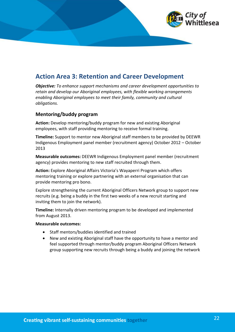## <span id="page-21-0"></span>**Action Area 3: Retention and Career Development**

*Objective: To enhance support mechanisms and career development opportunities to retain and develop our Aboriginal employees, with flexible working arrangements enabling Aboriginal employees to meet their family, community and cultural obligations.*

#### **Mentoring/buddy program**

**Action:** Develop mentoring/buddy program for new and existing Aboriginal employees, with staff providing mentoring to receive formal training.

**Timeline:** Support to mentor new Aboriginal staff members to be provided by DEEWR Indigenous Employment panel member (recruitment agency) October 2012 – October 2013

**Measurable outcomes:** DEEWR Indigenous Employment panel member (recruitment agency) provides mentoring to new staff recruited through them.

**Action:** Explore Aboriginal Affairs Victoria's Wayaperri Program which offers mentoring training or explore partnering with an external organisation that can provide mentoring pro bono.

Explore strengthening the current Aboriginal Officers Network group to support new recruits (e.g. being a buddy in the first two weeks of a new recruit starting and inviting them to join the network).

**Timeline:** Internally driven mentoring program to be developed and implemented from August 2013.

#### **Measurable outcomes:**

- · Staff mentors/buddies identified and trained
- · New and existing Aboriginal staff have the opportunity to have a mentor and feel supported through mentor/buddy program Aboriginal Officers Network group supporting new recruits through being a buddy and joining the network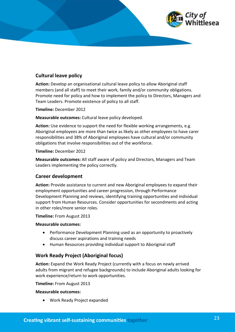

#### **Cultural leave policy**

**Action:** Develop an organisational cultural leave policy to allow Aboriginal staff members (and all staff) to meet their work, family and/or community obligations. Promote need for policy and how to implement the policy to Directors, Managers and Team Leaders. Promote existence of policy to all staff.

**Timeline:** December 2012

**Measurable outcomes:** Cultural leave policy developed.

**Action:** Use evidence to support the need for flexible working arrangements, e.g. Aboriginal employees are more than twice as likely as other employees to have carer responsibilities and 38% of Aboriginal employees have cultural and/or community obligations that involve responsibilities out of the workforce.

#### **Timeline:** December 2012

**Measurable outcomes:** All staff aware of policy and Directors, Managers and Team Leaders implementing the policy correctly.

#### **Career development**

**Action:** Provide assistance to current and new Aboriginal employees to expand their employment opportunities and career progression, through Performance Development Planning and reviews, identifying training opportunities and individual support from Human Resources. Consider opportunities for secondments and acting in other roles/more senior roles.

#### **Timeline:** From August 2013

#### **Measurable outcomes:**

- · Performance Development Planning used as an opportunity to proactively discuss career aspirations and training needs
- · Human Resources providing individual support to Aboriginal staff

#### **Work Ready Project (Aboriginal focus)**

**Action:** Expand the Work Ready Project (currently with a focus on newly arrived adults from migrant and refugee backgrounds) to include Aboriginal adults looking for work experience/return to work opportunities.

**Timeline:** From August 2013

#### **Measurable outcomes:**

· Work Ready Project expanded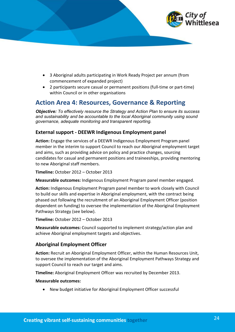

- · 3 Aboriginal adults participating in Work Ready Project per annum (from commencement of expanded project)
- · 2 participants secure casual or permanent positions (full-time or part-time) within Council or in other organisations

## <span id="page-23-0"></span>**Action Area 4: Resources, Governance & Reporting**

*Objective: To effectively resource the Strategy and Action Plan to ensure its success and sustainability and be accountable to the local Aboriginal community using sound governance, adequate monitoring and transparent reporting.*

#### **External support - DEEWR Indigenous Employment panel**

**Action:** Engage the services of a DEEWR Indigenous Employment Program panel member in the interim to support Council to reach our Aboriginal employment target and aims, such as providing advice on policy and practice changes, sourcing candidates for casual and permanent positions and traineeships, providing mentoring to new Aboriginal staff members.

**Timeline:** October 2012 – October 2013

**Measurable outcomes:** Indigenous Employment Program panel member engaged.

**Action:** Indigenous Employment Program panel member to work closely with Council to build our skills and expertise in Aboriginal employment, with the contract being phased out following the recruitment of an Aboriginal Employment Officer (position dependent on funding) to oversee the implementation of the Aboriginal Employment Pathways Strategy (see below).

**Timeline:** October 2012 – October 2013

**Measurable outcomes:** Council supported to implement strategy/action plan and achieve Aboriginal employment targets and objectives.

#### **Aboriginal Employment Officer**

**Action:** Recruit an Aboriginal Employment Officer, within the Human Resources Unit, to oversee the implementation of the Aboriginal Employment Pathways Strategy and support Council to reach our target and aims.

**Timeline:** Aboriginal Employment Officer was recruited by December 2013.

#### **Measurable outcomes:**

New budget initiative for Aboriginal Employment Officer successful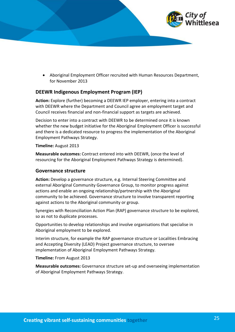

· Aboriginal Employment Officer recruited with Human Resources Department, for November 2013

#### **DEEWR Indigenous Employment Program (IEP)**

**Action:** Explore (further) becoming a DEEWR IEP employer, entering into a contract with DEEWR where the Department and Council agree an employment target and Council receives financial and non-financial support as targets are achieved.

Decision to enter into a contract with DEEWR to be determined once it is known whether the new budget initiative for the Aboriginal Employment Officer is successful and there is a dedicated resource to progress the implementation of the Aboriginal Employment Pathways Strategy.

**Timeline:** August 2013

**Measurable outcomes:** Contract entered into with DEEWR, (once the level of resourcing for the Aboriginal Employment Pathways Strategy is determined).

#### **Governance structure**

**Action:** Develop a governance structure, e.g. Internal Steering Committee and external Aboriginal Community Governance Group, to monitor progress against actions and enable an ongoing relationship/partnership with the Aboriginal community to be achieved. Governance structure to involve transparent reporting against actions to the Aboriginal community or group.

Synergies with Reconciliation Action Plan (RAP) governance structure to be explored, so as not to duplicate processes.

Opportunities to develop relationships and involve organisations that specialise in Aboriginal employment to be explored.

Interim structure, for example the RAP governance structure or Localities Embracing and Accepting Diversity (LEAD) Project governance structure, to oversee implementation of Aboriginal Employment Pathways Strategy.

**Timeline:** From August 2013

**Measurable outcomes:** Governance structure set-up and overseeing implementation of Aboriginal Employment Pathways Strategy.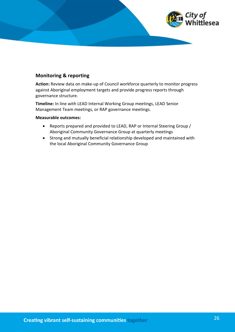

#### **Monitoring & reporting**

**Action:** Review data on make-up of Council workforce quarterly to monitor progress against Aboriginal employment targets and provide progress reports through governance structure.

**Timeline:** In line with LEAD Internal Working Group meetings, LEAD Senior Management Team meetings, or RAP governance meetings.

#### **Measurable outcomes:**

- · Reports prepared and provided to LEAD, RAP or Internal Steering Group / Aboriginal Community Governance Group at quarterly meetings
- · Strong and mutually beneficial relationship developed and maintained with the local Aboriginal Community Governance Group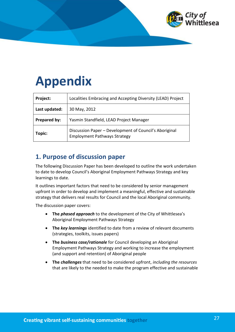

## <span id="page-26-0"></span>**Appendix**

| Project:      | Localities Embracing and Accepting Diversity (LEAD) Project                                   |
|---------------|-----------------------------------------------------------------------------------------------|
| Last updated: | 30 May, 2012                                                                                  |
| Prepared by:  | Yasmin Standfield, LEAD Project Manager                                                       |
| Topic:        | Discussion Paper - Development of Council's Aboriginal<br><b>Employment Pathways Strategy</b> |

## <span id="page-26-1"></span>**1. Purpose of discussion paper**

The following Discussion Paper has been developed to outline the work undertaken to date to develop Council's Aboriginal Employment Pathways Strategy and key learnings to date.

It outlines important factors that need to be considered by senior management upfront in order to develop and implement a meaningful, effective and sustainable strategy that delivers real results for Council and the local Aboriginal community.

The discussion paper covers:

- · **The** *phased approach* to the development of the City of Whittlesea's Aboriginal Employment Pathways Strategy
- · **The** *key learnings* identified to date from a review of relevant documents (strategies, toolkits, issues papers)
- · **The** *business case/rationale* for Council developing an Aboriginal Employment Pathways Strategy and working to increase the employment (and support and retention) of Aboriginal people
- · **The** *challenges* that need to be considered upfront, *including the resources* that are likely to the needed to make the program effective and sustainable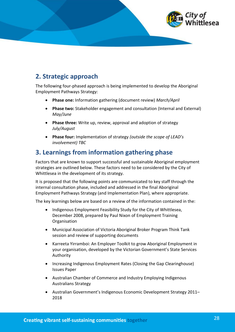

## <span id="page-27-0"></span>**2. Strategic approach**

The following four-phased approach is being implemented to develop the Aboriginal Employment Pathways Strategy:

- · **Phase one:** Information gathering (document review) *March/April*
- · **Phase two:** Stakeholder engagement and consultation (Internal and External) *May/June*
- · **Phase three:** Write up, review, approval and adoption of strategy *July/August*
- · **Phase four:** Implementation of strategy *(outside the scope of LEAD's involvement) TBC*

## <span id="page-27-1"></span>**3. Learnings from information gathering phase**

Factors that are known to support successful and sustainable Aboriginal employment strategies are outlined below. These factors need to be considered by the City of Whittlesea in the development of its strategy.

It is proposed that the following points are communicated to key staff through the internal consultation phase, included and addressed in the final Aboriginal Employment Pathways Strategy (and Implementation Plan), where appropriate.

The key learnings below are based on a review of the information contained in the:

- · Indigenous Employment Feasibility Study for the City of Whittlesea, December 2008, prepared by Paul Nixon of Employment Training **Organisation**
- · Municipal Association of Victoria Aboriginal Broker Program Think Tank session and review of supporting documents
- · Karreeta Yirramboi: An Employer Toolkit to grow Aboriginal Employment in your organisation, developed by the Victorian Government's State Services Authority
- · Increasing Indigenous Employment Rates (Closing the Gap Clearinghouse) Issues Paper
- · Australian Chamber of Commerce and Industry Employing Indigenous Australians Strategy
- · Australian Government's Indigenous Economic Development Strategy 2011– 2018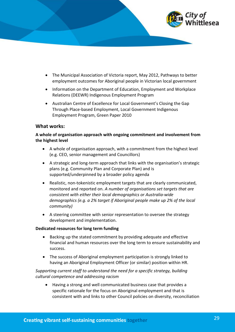

- · The Municipal Association of Victoria report, May 2012, Pathways to better employment outcomes for Aboriginal people in Victorian local government
- · Information on the Department of Education, Employment and Workplace Relations (DEEWR) Indigenous Employment Program
- · Australian Centre of Excellence for Local Government's Closing the Gap Through Place-based Employment, Local Government Indigenous Employment Program, Green Paper 2010

#### **What works:**

#### **A whole of organisation approach with ongoing commitment and involvement from the highest level**

- · A whole of organisation approach, with a commitment from the highest level (e.g. CEO, senior management and Councillors)
- · A strategic and long-term approach that links with the organisation's strategic plans (e.g. Community Plan and Corporate Plan) and is supported/underpinned by a broader policy agenda
- · Realistic, non-tokenistic employment targets that are clearly communicated, monitored and reported on. *A number of organisations set targets that are consistent with either their local demographics or Australia-wide demographics (e.g. a 2% target if Aboriginal people make up 2% of the local community)*
- · A steering committee with senior representation to oversee the strategy development and implementation.

#### **Dedicated resources for long term funding**

- Backing up the stated commitment by providing adequate and effective financial and human resources over the long term to ensure sustainability and success.
- · The success of Aboriginal employment participation is strongly linked to having an Aboriginal Employment Officer (or similar) position within HR.

#### *Supporting current staff to understand the need for a specific strategy, building cultural competence and addressing racism*

· Having a strong and well communicated business case that provides a specific rationale for the focus on Aboriginal employment and that is consistent with and links to other Council policies on diversity, reconciliation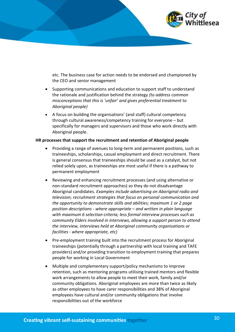

etc. The business case for action needs to be endorsed and championed by the CEO and senior management

- · Supporting communications and education to support staff to understand the rationale and justification behind the strategy *(to address common misconceptions that this is 'unfair' and gives preferential treatment to Aboriginal people)*
- · A focus on building the organisations' (and staff) cultural competency through cultural awareness/competency training for everyone – but specifically for managers and supervisors and those who work directly with Aboriginal people.

#### **HR processes that support the recruitment and retention of Aboriginal people**

- Providing a range of avenues to long-term and permanent positions, such as traineeships, scholarships, casual employment and direct recruitment. There is general consensus that traineeships should be used as a catalyst, but not relied solely upon, as traineeships are most useful if there is a pathway to permanent employment
- · Reviewing and enhancing recruitment processes (and using alternative or non-standard recruitment approaches) so they do not disadvantage Aboriginal candidates. *Examples include advertising on Aboriginal radio and television; recruitment strategies that focus on personal communication and the opportunity to demonstrate skills and abilities; maximum 1 or 2 page position descriptions - where appropriate – and written in plain language with maximum 6 selection criteria; less formal interview processes such as community Elders involved in interviews, allowing a support person to attend the interview, interviews held at Aboriginal community organisations or facilities - where appropriate, etc)*
- Pre-employment training built into the recruitment process for Aboriginal traineeships (potentially through a partnership with local training and TAFE providers) and/or providing transition to employment training that prepares people for working in Local Government
- · Multiple and complementary support/policy mechanisms to improve retention, such as mentoring programs utilising trained mentors and flexible work arrangements to allow people to meet their work, family and/or community obligations. Aboriginal employees are more than twice as likely as other employees to have carer responsibilities and 38% of Aboriginal employees have cultural and/or community obligations that involve responsibilities out of the workforce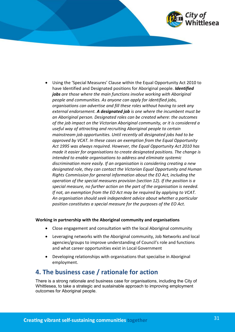

· Using the 'Special Measures' Clause within the Equal Opportunity Act 2010 to have Identified and Designated positions for Aboriginal people. *Identified jobs are those where the main functions involve working with Aboriginal people and communities. As anyone can apply for identified jobs, organisations can advertise and fill these roles without having to seek any external endorsement. A designated job is one where the incumbent must be an Aboriginal person. Designated roles can be created where: the outcomes of the job impact on the Victorian Aboriginal community, or it is considered a useful way of attracting and recruiting Aboriginal people to certain mainstream job opportunities. Until recently all designated jobs had to be approved by VCAT. In these cases an exemption from the Equal Opportunity Act 1995 was always required. However, the Equal Opportunity Act 2010 has made it easier for organisations to create designated positions. The change is intended to enable organisations to address and eliminate systemic discrimination more easily. If an organisation is considering creating a new designated role, they can contact the Victorian Equal Opportunity and Human Rights Commission for general information about the EO Act, including the operation of the special measures provision (section 12). If the position is a special measure, no further action on the part of the organisation is needed. If not, an exemption from the EO Act may be required by applying to VCAT. An organisation should seek independent advice about whether a particular position constitutes a special measure for the purposes of the EO Act.*

#### **Working in partnership with the Aboriginal community and organisations**

- · Close engagement and consultation with the local Aboriginal community
- · Leveraging networks with the Aboriginal community, Job Networks and local agencies/groups to improve understanding of Council's role and functions and what career opportunities exist in Local Government
- Developing relationships with organisations that specialise in Aboriginal employment.

### <span id="page-30-0"></span>**4. The business case / rationale for action**

There is a strong rationale and business case for organisations, including the City of Whittlesea, to take a strategic and sustainable approach to improving employment outcomes for Aboriginal people.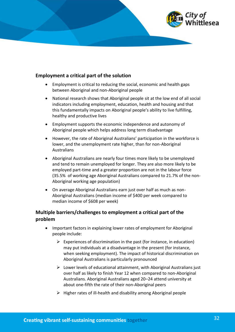

#### **Employment a critical part of the solution**

- · Employment is critical to reducing the social, economic and health gaps between Aboriginal and non-Aboriginal people
- · National research shows that Aboriginal people sit at the low end of all social indicators including employment, education, health and housing and that this fundamentally impacts on Aboriginal people's ability to live fulfilling, healthy and productive lives
- · Employment supports the economic independence and autonomy of Aboriginal people which helps address long term disadvantage
- · However, the rate of Aboriginal Australians' participation in the workforce is lower, and the unemployment rate higher, than for non-Aboriginal Australians
- · Aboriginal Australians are nearly four times more likely to be unemployed and tend to remain unemployed for longer. They are also more likely to be employed part-time and a greater proportion are not in the labour force (35.5% of working age Aboriginal Australians compared to 21.7% of the non-Aboriginal working age population)
- · On average Aboriginal Australians earn just over half as much as non-Aboriginal Australians (median income of \$400 per week compared to median income of \$608 per week)

#### **Multiple barriers/challenges to employment a critical part of the problem**

- · Important factors in explaining lower rates of employment for Aboriginal people include:
	- $\triangleright$  Experiences of discrimination in the past (for instance, in education) may put individuals at a disadvantage in the present (for instance, when seeking employment). The impact of historical discrimination on Aboriginal Australians is particularly pronounced
	- $\triangleright$  Lower levels of educational attainment, with Aboriginal Australians just over half as likely to finish Year 12 when compared to non-Aboriginal Australians. Aboriginal Australians aged 20–24 attend university at about one-fifth the rate of their non-Aboriginal peers
	- $\triangleright$  Higher rates of ill-health and disability among Aboriginal people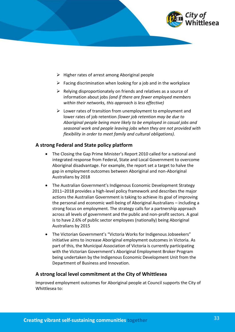

- $\triangleright$  Higher rates of arrest among Aboriginal people
- $\triangleright$  Facing discrimination when looking for a job and in the workplace
- $\triangleright$  Relying disproportionately on friends and relatives as a source of information about jobs *(and if there are fewer employed members within their networks, this approach is less effective)*
- $\triangleright$  Lower rates of transition from unemployment to employment and lower rates of job retention *(lower job retention may be due to Aboriginal people being more likely to be employed in casual jobs and seasonal work and people leaving jobs when they are not provided with flexibility in order to meet family and cultural obligations).*

#### **A strong Federal and State policy platform**

- The Closing the Gap Prime Minister's Report 2010 called for a national and integrated response from Federal, State and Local Government to overcome Aboriginal disadvantage. For example, the report set a target to halve the gap in employment outcomes between Aboriginal and non-Aboriginal Australians by 2018
- The Australian Government's Indigenous Economic Development Strategy 2011–2018 provides a high-level policy framework and describes the major actions the Australian Government is taking to achieve its goal of improving the personal and economic well-being of Aboriginal Australians – including a strong focus on employment. The strategy calls for a partnership approach across all levels of government and the public and non-profit sectors. A goal is to have 2.6% of public sector employees (nationally) being Aboriginal Australians by 2015
- · The Victorian Government's "Victoria Works for Indigenous Jobseekers" initiative aims to increase Aboriginal employment outcomes in Victoria. As part of this, the Municipal Association of Victoria is currently participating with the Victorian Government's Aboriginal Employment Broker Program being undertaken by the Indigenous Economic Development Unit from the Department of Business and Innovation.

#### **A strong local level commitment at the City of Whittlesea**

Improved employment outcomes for Aboriginal people at Council supports the City of Whittlesea to: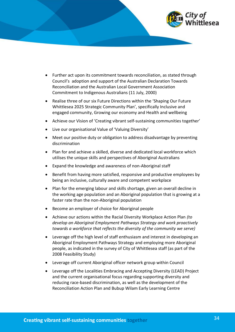

- · Further act upon its commitment towards reconciliation, as stated through Council's adoption and support of the Australian Declaration Towards Reconciliation and the Australian Local Government Association Commitment to Indigenous Australians (11 July, 2000)
- Realise three of our six Future Directions within the 'Shaping Our Future Whittlesea 2025 Strategic Community Plan', specifically Inclusive and engaged community, Growing our economy and Health and wellbeing
- · Achieve our Vision of 'Creating vibrant self-sustaining communities together'
- · Live our organisational Value of 'Valuing Diversity'
- Meet our positive duty or obligation to address disadvantage by preventing discrimination
- · Plan for and achieve a skilled, diverse and dedicated local workforce which utilises the unique skills and perspectives of Aboriginal Australians
- · Expand the knowledge and awareness of non-Aboriginal staff
- · Benefit from having more satisfied, responsive and productive employees by being an inclusive, culturally aware and competent workplace
- · Plan for the emerging labour and skills shortage, given an overall decline in the working age population and an Aboriginal population that is growing at a faster rate than the non-Aboriginal population
- Become an employer of choice for Aboriginal people
- · Achieve our actions within the Racial Diversity Workplace Action Plan *(to develop an Aboriginal Employment Pathways Strategy and work proactively towards a workforce that reflects the diversity of the community we serve)*
- · Leverage off the high level of staff enthusiasm and interest in developing an Aboriginal Employment Pathways Strategy and employing more Aboriginal people, as indicated in the survey of City of Whittlesea staff (as part of the 2008 Feasibility Study)
- · Leverage off current Aboriginal officer network group within Council
- Leverage off the Localities Embracing and Accepting Diversity (LEAD) Project and the current organisational focus regarding supporting diversity and reducing race-based discrimination, as well as the development of the Reconciliation Action Plan and Bubup Wilam Early Learning Centre